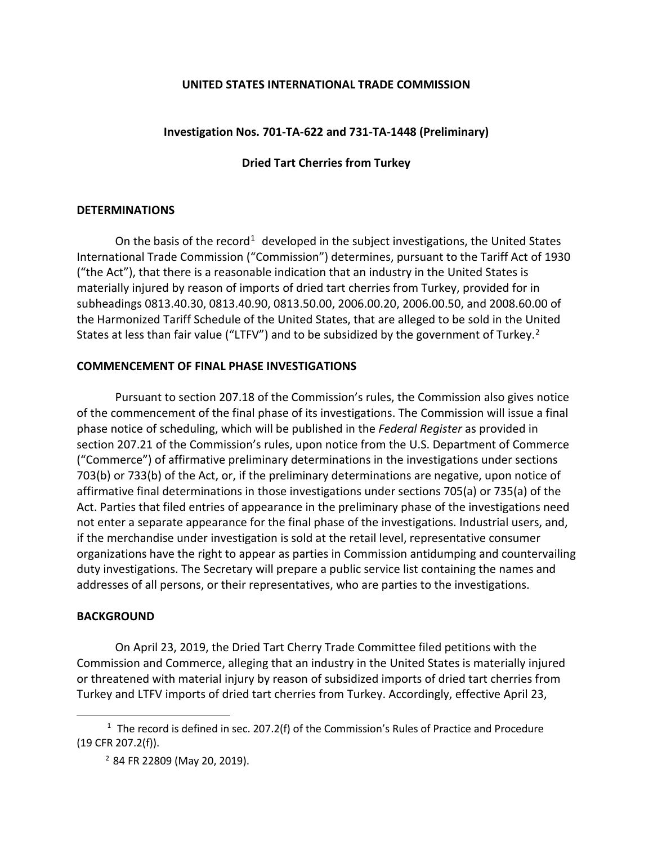### **UNITED STATES INTERNATIONAL TRADE COMMISSION**

# **Investigation Nos. 701-TA-622 and 731-TA-1448 (Preliminary)**

# **Dried Tart Cherries from Turkey**

#### **DETERMINATIONS**

On the basis of the record<sup>[1](#page-0-0)</sup> developed in the subject investigations, the United States International Trade Commission ("Commission") determines, pursuant to the Tariff Act of 1930 ("the Act"), that there is a reasonable indication that an industry in the United States is materially injured by reason of imports of dried tart cherries from Turkey, provided for in subheadings 0813.40.30, 0813.40.90, 0813.50.00, 2006.00.20, 2006.00.50, and 2008.60.00 of the Harmonized Tariff Schedule of the United States, that are alleged to be sold in the United States at less than fair value ("LTFV") and to be subsidized by the government of Turkey.<sup>[2](#page-0-1)</sup>

## **COMMENCEMENT OF FINAL PHASE INVESTIGATIONS**

Pursuant to section 207.18 of the Commission's rules, the Commission also gives notice of the commencement of the final phase of its investigations. The Commission will issue a final phase notice of scheduling, which will be published in the *Federal Register* as provided in section 207.21 of the Commission's rules, upon notice from the U.S. Department of Commerce ("Commerce") of affirmative preliminary determinations in the investigations under sections 703(b) or 733(b) of the Act, or, if the preliminary determinations are negative, upon notice of affirmative final determinations in those investigations under sections 705(a) or 735(a) of the Act. Parties that filed entries of appearance in the preliminary phase of the investigations need not enter a separate appearance for the final phase of the investigations. Industrial users, and, if the merchandise under investigation is sold at the retail level, representative consumer organizations have the right to appear as parties in Commission antidumping and countervailing duty investigations. The Secretary will prepare a public service list containing the names and addresses of all persons, or their representatives, who are parties to the investigations.

## **BACKGROUND**

 $\overline{a}$ 

On April 23, 2019, the Dried Tart Cherry Trade Committee filed petitions with the Commission and Commerce, alleging that an industry in the United States is materially injured or threatened with material injury by reason of subsidized imports of dried tart cherries from Turkey and LTFV imports of dried tart cherries from Turkey. Accordingly, effective April 23,

<span id="page-0-1"></span><span id="page-0-0"></span> $1$  The record is defined in sec. 207.2(f) of the Commission's Rules of Practice and Procedure (19 CFR 207.2(f)).

<sup>2</sup> 84 FR 22809 (May 20, 2019).